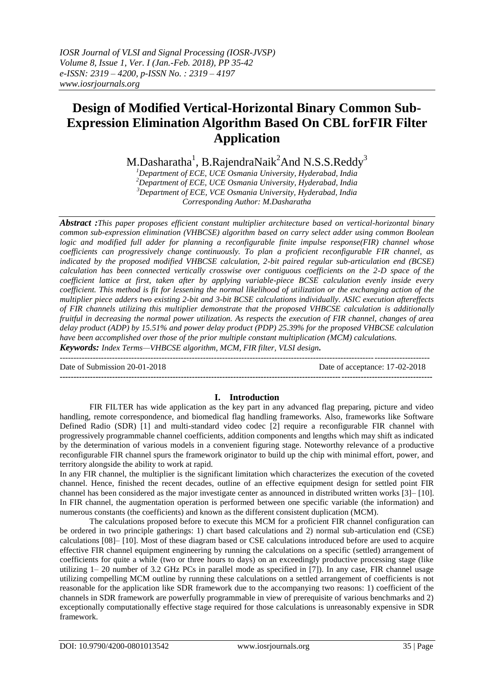# **Design of Modified Vertical-Horizontal Binary Common Sub-Expression Elimination Algorithm Based On CBL forFIR Filter Application**

M.Dasharatha $^{\rm l}$ , B.RajendraNaik $^{\rm 2}$ And N.S.S.Reddy $^{\rm 3}$ 

*Department of ECE, UCE Osmania University, Hyderabad, India Department of ECE, UCE Osmania University, Hyderabad, India Department of ECE, VCE Osmania University, Hyderabad, India Corresponding Author: M.Dasharatha*

*Abstract :This paper proposes efficient constant multiplier architecture based on vertical-horizontal binary common sub-expression elimination (VHBCSE) algorithm based on carry select adder using common Boolean logic and modified full adder for planning a reconfigurable finite impulse response(FIR) channel whose coefficients can progressively change continuously. To plan a proficient reconfigurable FIR channel, as indicated by the proposed modified VHBCSE calculation, 2-bit paired regular sub-articulation end (BCSE) calculation has been connected vertically crosswise over contiguous coefficients on the 2-D space of the coefficient lattice at first, taken after by applying variable-piece BCSE calculation evenly inside every coefficient. This method is fit for lessening the normal likelihood of utilization or the exchanging action of the multiplier piece adders two existing 2-bit and 3-bit BCSE calculations individually. ASIC execution aftereffects of FIR channels utilizing this multiplier demonstrate that the proposed VHBCSE calculation is additionally fruitful in decreasing the normal power utilization. As respects the execution of FIR channel, changes of area delay product (ADP) by 15.51% and power delay product (PDP) 25.39% for the proposed VHBCSE calculation have been accomplished over those of the prior multiple constant multiplication (MCM) calculations.*

*Keywords: Index Terms—VHBCSE algorithm, MCM, FIR filter, VLSI design. -*-------------------------------------------------------------------------------------------------------------------------------------

Date of Submission 20-01-2018 Date of acceptance: 17-02-2018

#### **---------------------------------------------------------------------------------------------------------------------------------------**

### **I. Introduction**

FIR FILTER has wide application as the key part in any advanced flag preparing, picture and video handling, remote correspondence, and biomedical flag handling frameworks. Also, frameworks like Software Defined Radio (SDR) [1] and multi-standard video codec [2] require a reconfigurable FIR channel with progressively programmable channel coefficients, addition components and lengths which may shift as indicated by the determination of various models in a convenient figuring stage. Noteworthy relevance of a productive reconfigurable FIR channel spurs the framework originator to build up the chip with minimal effort, power, and territory alongside the ability to work at rapid.

In any FIR channel, the multiplier is the significant limitation which characterizes the execution of the coveted channel. Hence, finished the recent decades, outline of an effective equipment design for settled point FIR channel has been considered as the major investigate center as announced in distributed written works [3]– [10]. In FIR channel, the augmentation operation is performed between one specific variable (the information) and numerous constants (the coefficients) and known as the different consistent duplication (MCM).

The calculations proposed before to execute this MCM for a proficient FIR channel configuration can be ordered in two principle gatherings: 1) chart based calculations and 2) normal sub-articulation end (CSE) calculations [08]– [10]. Most of these diagram based or CSE calculations introduced before are used to acquire effective FIR channel equipment engineering by running the calculations on a specific (settled) arrangement of coefficients for quite a while (two or three hours to days) on an exceedingly productive processing stage (like utilizing 1– 20 number of 3.2 GHz PCs in parallel mode as specified in [7]). In any case, FIR channel usage utilizing compelling MCM outline by running these calculations on a settled arrangement of coefficients is not reasonable for the application like SDR framework due to the accompanying two reasons: 1) coefficient of the channels in SDR framework are powerfully programmable in view of prerequisite of various benchmarks and 2) exceptionally computationally effective stage required for those calculations is unreasonably expensive in SDR framework.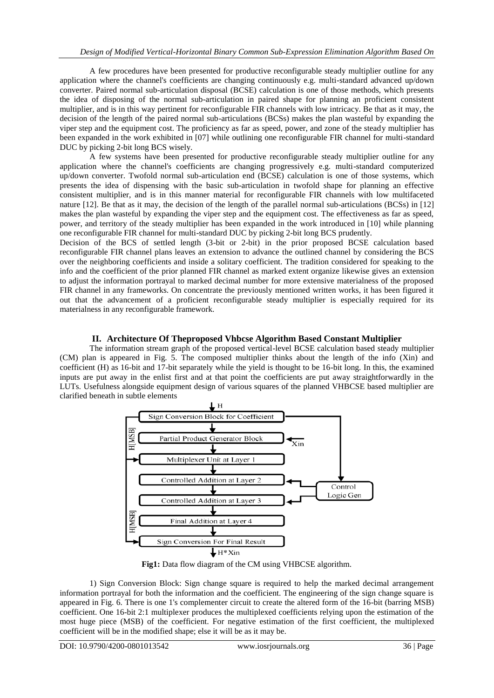A few procedures have been presented for productive reconfigurable steady multiplier outline for any application where the channel's coefficients are changing continuously e.g. multi-standard advanced up/down converter. Paired normal sub-articulation disposal (BCSE) calculation is one of those methods, which presents the idea of disposing of the normal sub-articulation in paired shape for planning an proficient consistent multiplier, and is in this way pertinent for reconfigurable FIR channels with low intricacy. Be that as it may, the decision of the length of the paired normal sub-articulations (BCSs) makes the plan wasteful by expanding the viper step and the equipment cost. The proficiency as far as speed, power, and zone of the steady multiplier has been expanded in the work exhibited in [07] while outlining one reconfigurable FIR channel for multi-standard DUC by picking 2-bit long BCS wisely.

A few systems have been presented for productive reconfigurable steady multiplier outline for any application where the channel's coefficients are changing progressively e.g. multi-standard computerized up/down converter. Twofold normal sub-articulation end (BCSE) calculation is one of those systems, which presents the idea of dispensing with the basic sub-articulation in twofold shape for planning an effective consistent multiplier, and is in this manner material for reconfigurable FIR channels with low multifaceted nature [12]. Be that as it may, the decision of the length of the parallel normal sub-articulations (BCSs) in [12] makes the plan wasteful by expanding the viper step and the equipment cost. The effectiveness as far as speed, power, and territory of the steady multiplier has been expanded in the work introduced in [10] while planning one reconfigurable FIR channel for multi-standard DUC by picking 2-bit long BCS prudently.

Decision of the BCS of settled length (3-bit or 2-bit) in the prior proposed BCSE calculation based reconfigurable FIR channel plans leaves an extension to advance the outlined channel by considering the BCS over the neighboring coefficients and inside a solitary coefficient. The tradition considered for speaking to the info and the coefficient of the prior planned FIR channel as marked extent organize likewise gives an extension to adjust the information portrayal to marked decimal number for more extensive materialness of the proposed FIR channel in any frameworks. On concentrate the previously mentioned written works, it has been figured it out that the advancement of a proficient reconfigurable steady multiplier is especially required for its materialness in any reconfigurable framework.

#### **II. Architecture Of Theproposed Vhbcse Algorithm Based Constant Multiplier**

The information stream graph of the proposed vertical-level BCSE calculation based steady multiplier (CM) plan is appeared in Fig. 5. The composed multiplier thinks about the length of the info (Xin) and coefficient (H) as 16-bit and 17-bit separately while the yield is thought to be 16-bit long. In this, the examined inputs are put away in the enlist first and at that point the coefficients are put away straightforwardly in the LUTs. Usefulness alongside equipment design of various squares of the planned VHBCSE based multiplier are clarified beneath in subtle elements



**Fig1:** Data flow diagram of the CM using VHBCSE algorithm.

1) Sign Conversion Block: Sign change square is required to help the marked decimal arrangement information portrayal for both the information and the coefficient. The engineering of the sign change square is appeared in Fig. 6. There is one 1's complementer circuit to create the altered form of the 16-bit (barring MSB) coefficient. One 16-bit 2:1 multiplexer produces the multiplexed coefficients relying upon the estimation of the most huge piece (MSB) of the coefficient. For negative estimation of the first coefficient, the multiplexed coefficient will be in the modified shape; else it will be as it may be.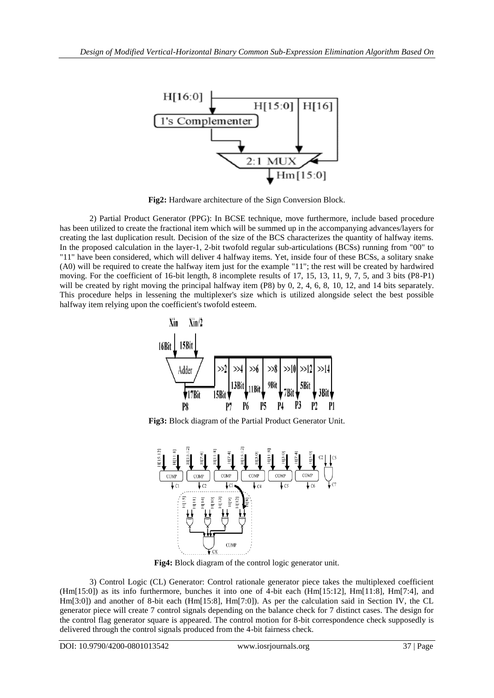

**Fig2:** Hardware architecture of the Sign Conversion Block.

2) Partial Product Generator (PPG): In BCSE technique, move furthermore, include based procedure has been utilized to create the fractional item which will be summed up in the accompanying advances/layers for creating the last duplication result. Decision of the size of the BCS characterizes the quantity of halfway items. In the proposed calculation in the layer-1, 2-bit twofold regular sub-articulations (BCSs) running from "00" to "11" have been considered, which will deliver 4 halfway items. Yet, inside four of these BCSs, a solitary snake (A0) will be required to create the halfway item just for the example "11"; the rest will be created by hardwired moving. For the coefficient of 16-bit length, 8 incomplete results of 17, 15, 13, 11, 9, 7, 5, and 3 bits (P8-P1) will be created by right moving the principal halfway item (P8) by 0, 2, 4, 6, 8, 10, 12, and 14 bits separately. This procedure helps in lessening the multiplexer's size which is utilized alongside select the best possible halfway item relying upon the coefficient's twofold esteem.



**Fig3:** Block diagram of the Partial Product Generator Unit.



**Fig4:** Block diagram of the control logic generator unit.

3) Control Logic (CL) Generator: Control rationale generator piece takes the multiplexed coefficient (Hm[15:0]) as its info furthermore, bunches it into one of 4-bit each (Hm[15:12], Hm[11:8], Hm[7:4], and Hm[3:0]) and another of 8-bit each (Hm[15:8], Hm[7:0]). As per the calculation said in Section IV, the CL generator piece will create 7 control signals depending on the balance check for 7 distinct cases. The design for the control flag generator square is appeared. The control motion for 8-bit correspondence check supposedly is delivered through the control signals produced from the 4-bit fairness check.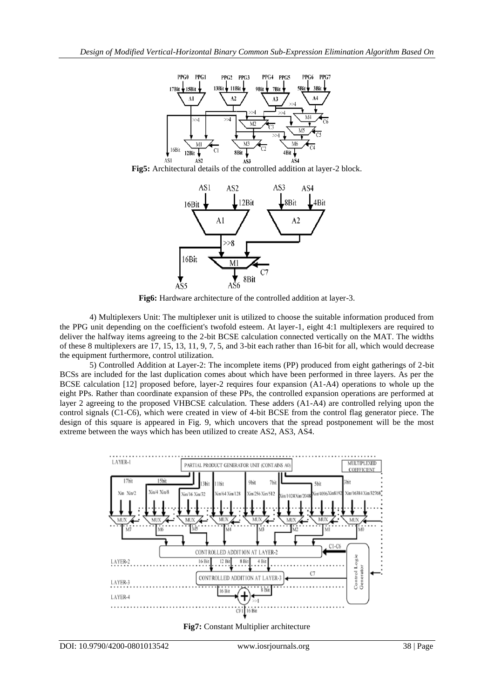

**Fig5:** Architectural details of the controlled addition at layer-2 block.



**Fig6:** Hardware architecture of the controlled addition at layer-3.

4) Multiplexers Unit: The multiplexer unit is utilized to choose the suitable information produced from the PPG unit depending on the coefficient's twofold esteem. At layer-1, eight 4:1 multiplexers are required to deliver the halfway items agreeing to the 2-bit BCSE calculation connected vertically on the MAT. The widths of these 8 multiplexers are 17, 15, 13, 11, 9, 7, 5, and 3-bit each rather than 16-bit for all, which would decrease the equipment furthermore, control utilization.

5) Controlled Addition at Layer-2: The incomplete items (PP) produced from eight gatherings of 2-bit BCSs are included for the last duplication comes about which have been performed in three layers. As per the BCSE calculation [12] proposed before, layer-2 requires four expansion (A1-A4) operations to whole up the eight PPs. Rather than coordinate expansion of these PPs, the controlled expansion operations are performed at layer 2 agreeing to the proposed VHBCSE calculation. These adders (A1-A4) are controlled relying upon the control signals (C1-C6), which were created in view of 4-bit BCSE from the control flag generator piece. The design of this square is appeared in Fig. 9, which uncovers that the spread postponement will be the most extreme between the ways which has been utilized to create AS2, AS3, AS4.



**Fig7:** Constant Multiplier architecture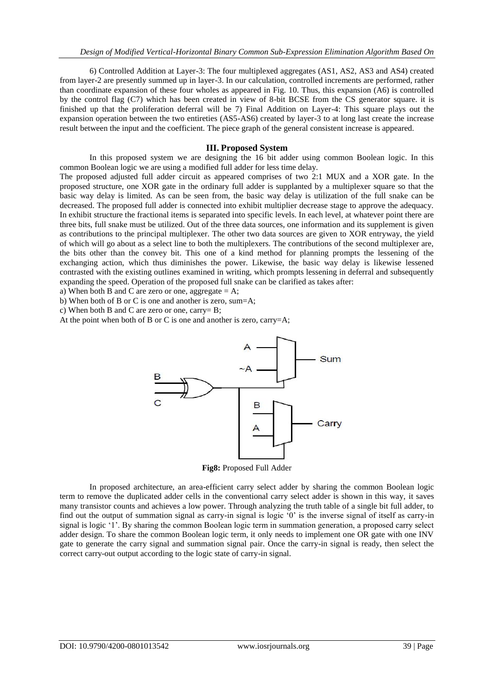6) Controlled Addition at Layer-3: The four multiplexed aggregates (AS1, AS2, AS3 and AS4) created from layer-2 are presently summed up in layer-3. In our calculation, controlled increments are performed, rather than coordinate expansion of these four wholes as appeared in Fig. 10. Thus, this expansion (A6) is controlled by the control flag (C7) which has been created in view of 8-bit BCSE from the CS generator square. it is finished up that the proliferation deferral will be 7) Final Addition on Layer-4: This square plays out the expansion operation between the two entireties (AS5-AS6) created by layer-3 to at long last create the increase result between the input and the coefficient. The piece graph of the general consistent increase is appeared.

#### **III. Proposed System**

In this proposed system we are designing the 16 bit adder using common Boolean logic. In this common Boolean logic we are using a modified full adder for less time delay.

The proposed adjusted full adder circuit as appeared comprises of two 2:1 MUX and a XOR gate. In the proposed structure, one XOR gate in the ordinary full adder is supplanted by a multiplexer square so that the basic way delay is limited. As can be seen from, the basic way delay is utilization of the full snake can be decreased. The proposed full adder is connected into exhibit multiplier decrease stage to approve the adequacy. In exhibit structure the fractional items is separated into specific levels. In each level, at whatever point there are three bits, full snake must be utilized. Out of the three data sources, one information and its supplement is given as contributions to the principal multiplexer. The other two data sources are given to XOR entryway, the yield of which will go about as a select line to both the multiplexers. The contributions of the second multiplexer are, the bits other than the convey bit. This one of a kind method for planning prompts the lessening of the exchanging action, which thus diminishes the power. Likewise, the basic way delay is likewise lessened contrasted with the existing outlines examined in writing, which prompts lessening in deferral and subsequently expanding the speed. Operation of the proposed full snake can be clarified as takes after:

a) When both B and C are zero or one, aggregate  $= A$ ;

b) When both of B or C is one and another is zero, sum=A;

c) When both B and C are zero or one, carry= B;

At the point when both of B or C is one and another is zero, carry=A;



**Fig8:** Proposed Full Adder

In proposed architecture, an area-efficient carry select adder by sharing the common Boolean logic term to remove the duplicated adder cells in the conventional carry select adder is shown in this way, it saves many transistor counts and achieves a low power. Through analyzing the truth table of a single bit full adder, to find out the output of summation signal as carry-in signal is logic "0" is the inverse signal of itself as carry-in signal is logic "1". By sharing the common Boolean logic term in summation generation, a proposed carry select adder design. To share the common Boolean logic term, it only needs to implement one OR gate with one INV gate to generate the carry signal and summation signal pair. Once the carry-in signal is ready, then select the correct carry-out output according to the logic state of carry-in signal.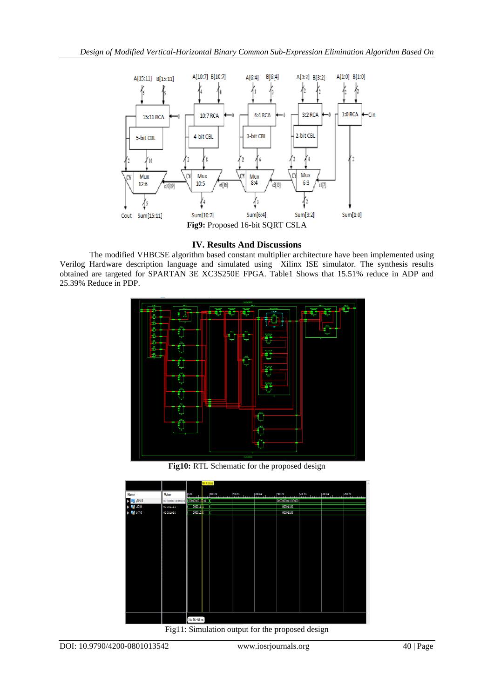

## **IV. Results And Discussions**

The modified VHBCSE algorithm based constant multiplier architecture have been implemented using Verilog Hardware description language and simulated using Xilinx ISE simulator. The synthesis results obtained are targeted for SPARTAN 3E XC3S250E FPGA. Table1 Shows that 15.51% reduce in ADP and 25.39% Reduce in PDP.



**Fig10:** RTL Schematic for the proposed design



Fig11: Simulation output for the proposed design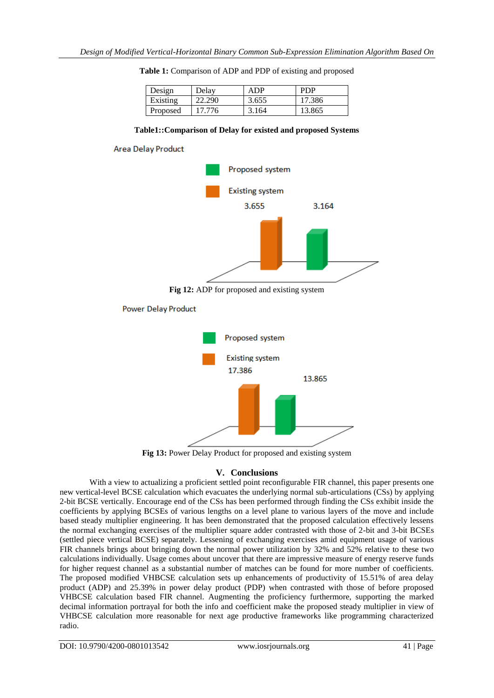| Design   | Delav  | ADP   | PDP    |
|----------|--------|-------|--------|
| Existing | 22.290 | 3.655 | 17.386 |
| Proposed | 17 776 | 3.164 | 13.865 |

**Table 1:** Comparison of ADP and PDP of existing and proposed

#### **Table1::Comparison of Delay for existed and proposed Systems**



**Power Delay Product** 



**Fig 13:** Power Delay Product for proposed and existing system

## **V. Conclusions**

With a view to actualizing a proficient settled point reconfigurable FIR channel, this paper presents one new vertical-level BCSE calculation which evacuates the underlying normal sub-articulations (CSs) by applying 2-bit BCSE vertically. Encourage end of the CSs has been performed through finding the CSs exhibit inside the coefficients by applying BCSEs of various lengths on a level plane to various layers of the move and include based steady multiplier engineering. It has been demonstrated that the proposed calculation effectively lessens the normal exchanging exercises of the multiplier square adder contrasted with those of 2-bit and 3-bit BCSEs (settled piece vertical BCSE) separately. Lessening of exchanging exercises amid equipment usage of various FIR channels brings about bringing down the normal power utilization by 32% and 52% relative to these two calculations individually. Usage comes about uncover that there are impressive measure of energy reserve funds for higher request channel as a substantial number of matches can be found for more number of coefficients. The proposed modified VHBCSE calculation sets up enhancements of productivity of 15.51% of area delay product (ADP) and 25.39% in power delay product (PDP) when contrasted with those of before proposed VHBCSE calculation based FIR channel. Augmenting the proficiency furthermore, supporting the marked decimal information portrayal for both the info and coefficient make the proposed steady multiplier in view of VHBCSE calculation more reasonable for next age productive frameworks like programming characterized radio.